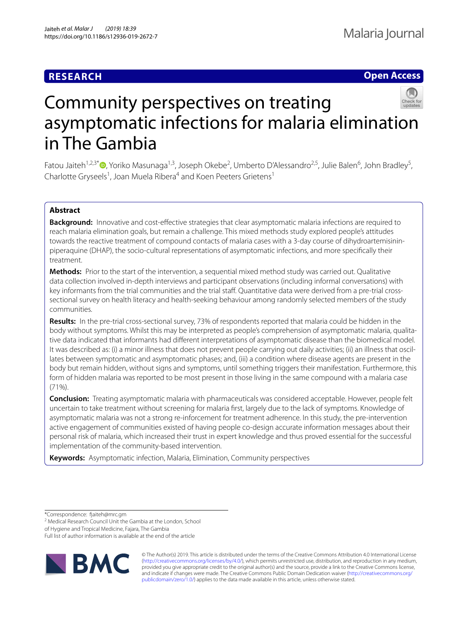# **RESEARCH**

# **Open Access**



# Community perspectives on treating asymptomatic infections for malaria elimination in The Gambia

Fatou Jaiteh<sup>1,2,3\*</sup> <sup>(1</sup>)[,](http://orcid.org/0000-0001-9712-295X) Yoriko Masunaga<sup>1,3</sup>, Joseph Okebe<sup>2</sup>, Umberto D'Alessandro<sup>2,5</sup>, Julie Balen<sup>6</sup>, John Bradley<sup>5</sup>, Charlotte Gryseels<sup>1</sup>, Joan Muela Ribera<sup>4</sup> and Koen Peeters Grietens<sup>1</sup>

# **Abstract**

**Background:** Innovative and cost-efective strategies that clear asymptomatic malaria infections are required to reach malaria elimination goals, but remain a challenge. This mixed methods study explored people's attitudes towards the reactive treatment of compound contacts of malaria cases with a 3-day course of dihydroartemisininpiperaquine (DHAP), the socio-cultural representations of asymptomatic infections, and more specifcally their treatment.

**Methods:** Prior to the start of the intervention, a sequential mixed method study was carried out. Qualitative data collection involved in-depth interviews and participant observations (including informal conversations) with key informants from the trial communities and the trial staff. Quantitative data were derived from a pre-trial crosssectional survey on health literacy and health-seeking behaviour among randomly selected members of the study communities.

**Results:** In the pre-trial cross-sectional survey, 73% of respondents reported that malaria could be hidden in the body without symptoms. Whilst this may be interpreted as people's comprehension of asymptomatic malaria, qualitative data indicated that informants had diferent interpretations of asymptomatic disease than the biomedical model. It was described as: (i) a minor illness that does not prevent people carrying out daily activities; (ii) an illness that oscillates between symptomatic and asymptomatic phases; and, (iii) a condition where disease agents are present in the body but remain hidden, without signs and symptoms, until something triggers their manifestation. Furthermore, this form of hidden malaria was reported to be most present in those living in the same compound with a malaria case (71%).

**Conclusion:** Treating asymptomatic malaria with pharmaceuticals was considered acceptable. However, people felt uncertain to take treatment without screening for malaria frst, largely due to the lack of symptoms. Knowledge of asymptomatic malaria was not a strong re-inforcement for treatment adherence. In this study, the pre-intervention active engagement of communities existed of having people co-design accurate information messages about their personal risk of malaria, which increased their trust in expert knowledge and thus proved essential for the successful implementation of the community-based intervention.

**Keywords:** Asymptomatic infection, Malaria, Elimination, Community perspectives

\*Correspondence: faiteh@mrc.gm

<sup>2</sup> Medical Research Council Unit the Gambia at the London, School

of Hygiene and Tropical Medicine, Fajara, The Gambia

Full list of author information is available at the end of the article



© The Author(s) 2019. This article is distributed under the terms of the Creative Commons Attribution 4.0 International License [\(http://creativecommons.org/licenses/by/4.0/\)](http://creativecommons.org/licenses/by/4.0/), which permits unrestricted use, distribution, and reproduction in any medium, provided you give appropriate credit to the original author(s) and the source, provide a link to the Creative Commons license, and indicate if changes were made. The Creative Commons Public Domain Dedication waiver ([http://creativecommons.org/](http://creativecommons.org/publicdomain/zero/1.0/) [publicdomain/zero/1.0/](http://creativecommons.org/publicdomain/zero/1.0/)) applies to the data made available in this article, unless otherwise stated.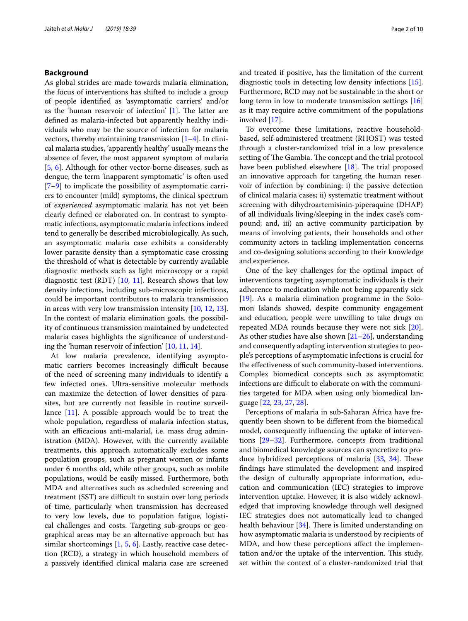## **Background**

As global strides are made towards malaria elimination, the focus of interventions has shifted to include a group of people identifed as 'asymptomatic carriers' and/or as the 'human reservoir of infection'  $[1]$  $[1]$ . The latter are defned as malaria-infected but apparently healthy individuals who may be the source of infection for malaria vectors, thereby maintaining transmission  $[1-4]$  $[1-4]$ . In clinical malaria studies, 'apparently healthy' usually means the absence of fever, the most apparent symptom of malaria [[5,](#page-8-2) [6](#page-8-3)]. Although for other vector-borne diseases, such as dengue, the term 'inapparent symptomatic' is often used [[7–](#page-8-4)[9\]](#page-9-0) to implicate the possibility of asymptomatic carriers to encounter (mild) symptoms, the clinical spectrum of *experienced* asymptomatic malaria has not yet been clearly defned or elaborated on. In contrast to symptomatic infections, asymptomatic malaria infections indeed tend to generally be described microbiologically. As such, an asymptomatic malaria case exhibits a considerably lower parasite density than a symptomatic case crossing the threshold of what is detectable by currently available diagnostic methods such as light microscopy or a rapid diagnostic test (RDT) [\[10](#page-9-1), [11\]](#page-9-2). Research shows that low density infections, including sub-microscopic infections, could be important contributors to malaria transmission in areas with very low transmission intensity [[10,](#page-9-1) [12](#page-9-3), [13](#page-9-4)]. In the context of malaria elimination goals, the possibility of continuous transmission maintained by undetected malaria cases highlights the signifcance of understanding the 'human reservoir of infection' [\[10](#page-9-1), [11](#page-9-2), [14\]](#page-9-5).

At low malaria prevalence, identifying asymptomatic carriers becomes increasingly difficult because of the need of screening many individuals to identify a few infected ones. Ultra-sensitive molecular methods can maximize the detection of lower densities of parasites, but are currently not feasible in routine surveillance [[11\]](#page-9-2). A possible approach would be to treat the whole population, regardless of malaria infection status, with an efficacious anti-malarial, i.e. mass drug administration (MDA). However, with the currently available treatments, this approach automatically excludes some population groups, such as pregnant women or infants under 6 months old, while other groups, such as mobile populations, would be easily missed. Furthermore, both MDA and alternatives such as scheduled screening and treatment (SST) are difficult to sustain over long periods of time, particularly when transmission has decreased to very low levels, due to population fatigue, logistical challenges and costs. Targeting sub-groups or geographical areas may be an alternative approach but has similar shortcomings [\[1,](#page-8-0) [5,](#page-8-2) [6\]](#page-8-3). Lastly, reactive case detection (RCD), a strategy in which household members of a passively identifed clinical malaria case are screened and treated if positive, has the limitation of the current diagnostic tools in detecting low density infections [\[15](#page-9-6)]. Furthermore, RCD may not be sustainable in the short or long term in low to moderate transmission settings [[16](#page-9-7)] as it may require active commitment of the populations involved [[17\]](#page-9-8).

To overcome these limitations, reactive householdbased, self-administered treatment (RHOST) was tested through a cluster-randomized trial in a low prevalence setting of The Gambia. The concept and the trial protocol have been published elsewhere  $[18]$  $[18]$  $[18]$ . The trial proposed an innovative approach for targeting the human reservoir of infection by combining: i) the passive detection of clinical malaria cases; ii) systematic treatment without screening with dihydroartemisinin-piperaquine (DHAP) of all individuals living/sleeping in the index case's compound; and, iii) an active community participation by means of involving patients, their households and other community actors in tackling implementation concerns and co-designing solutions according to their knowledge and experience.

One of the key challenges for the optimal impact of interventions targeting asymptomatic individuals is their adherence to medication while not being apparently sick [[19\]](#page-9-10). As a malaria elimination programme in the Solomon Islands showed, despite community engagement and education, people were unwilling to take drugs on repeated MDA rounds because they were not sick [\[20](#page-9-11)]. As other studies have also shown  $[21–26]$  $[21–26]$  $[21–26]$  $[21–26]$ , understanding and consequently adapting intervention strategies to people's perceptions of asymptomatic infections is crucial for the efectiveness of such community-based interventions. Complex biomedical concepts such as asymptomatic infections are difficult to elaborate on with the communities targeted for MDA when using only biomedical language [\[22,](#page-9-14) [23](#page-9-15), [27,](#page-9-16) [28\]](#page-9-17).

Perceptions of malaria in sub-Saharan Africa have frequently been shown to be diferent from the biomedical model, consequently infuencing the uptake of interventions [\[29](#page-9-18)[–32\]](#page-9-19). Furthermore, concepts from traditional and biomedical knowledge sources can syncretize to produce hybridized perceptions of malaria  $[33, 34]$  $[33, 34]$  $[33, 34]$  $[33, 34]$  $[33, 34]$ . These fndings have stimulated the development and inspired the design of culturally appropriate information, education and communication (IEC) strategies to improve intervention uptake. However, it is also widely acknowledged that improving knowledge through well designed IEC strategies does not automatically lead to changed health behaviour  $[34]$ . There is limited understanding on how asymptomatic malaria is understood by recipients of MDA, and how these perceptions afect the implementation and/or the uptake of the intervention. This study, set within the context of a cluster-randomized trial that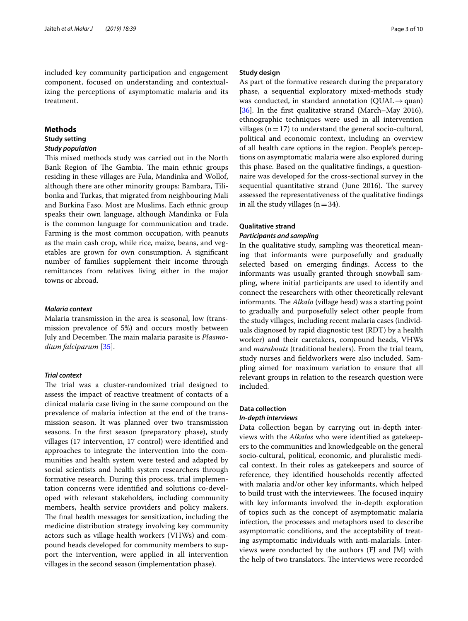#### **Methods**

#### **Study setting**

#### *Study population*

This mixed methods study was carried out in the North Bank Region of The Gambia. The main ethnic groups residing in these villages are Fula, Mandinka and Wollof, although there are other minority groups: Bambara, Tilibonka and Turkas, that migrated from neighbouring Mali and Burkina Faso. Most are Muslims. Each ethnic group speaks their own language, although Mandinka or Fula is the common language for communication and trade. Farming is the most common occupation, with peanuts as the main cash crop, while rice, maize, beans, and vegetables are grown for own consumption. A signifcant number of families supplement their income through remittances from relatives living either in the major towns or abroad.

#### *Malaria context*

Malaria transmission in the area is seasonal, low (transmission prevalence of 5%) and occurs mostly between July and December. The main malaria parasite is *Plasmodium falciparum* [[35\]](#page-9-22).

# *Trial context*

The trial was a cluster-randomized trial designed to assess the impact of reactive treatment of contacts of a clinical malaria case living in the same compound on the prevalence of malaria infection at the end of the transmission season. It was planned over two transmission seasons. In the frst season (preparatory phase), study villages (17 intervention, 17 control) were identifed and approaches to integrate the intervention into the communities and health system were tested and adapted by social scientists and health system researchers through formative research. During this process, trial implementation concerns were identifed and solutions co-developed with relevant stakeholders, including community members, health service providers and policy makers. The final health messages for sensitization, including the medicine distribution strategy involving key community actors such as village health workers (VHWs) and compound heads developed for community members to support the intervention, were applied in all intervention villages in the second season (implementation phase).

#### **Study design**

As part of the formative research during the preparatory phase, a sequential exploratory mixed-methods study was conducted, in standard annotation ( $QUAL \rightarrow$ quan) [[36\]](#page-9-23). In the frst qualitative strand (March–May 2016), ethnographic techniques were used in all intervention villages ( $n=17$ ) to understand the general socio-cultural, political and economic context, including an overview of all health care options in the region. People's perceptions on asymptomatic malaria were also explored during this phase. Based on the qualitative fndings, a questionnaire was developed for the cross-sectional survey in the sequential quantitative strand (June 2016). The survey assessed the representativeness of the qualitative fndings in all the study villages  $(n=34)$ .

#### **Qualitative strand**

#### *Participants and sampling*

In the qualitative study, sampling was theoretical meaning that informants were purposefully and gradually selected based on emerging fndings. Access to the informants was usually granted through snowball sampling, where initial participants are used to identify and connect the researchers with other theoretically relevant informants. The *Alkalo* (village head) was a starting point to gradually and purposefully select other people from the study villages, including recent malaria cases (individuals diagnosed by rapid diagnostic test (RDT) by a health worker) and their caretakers, compound heads, VHWs and *marabouts* (traditional healers). From the trial team, study nurses and feldworkers were also included. Sampling aimed for maximum variation to ensure that all relevant groups in relation to the research question were included.

#### **Data collection**

# *In‑depth interviews*

Data collection began by carrying out in-depth interviews with the *Alkalos* who were identifed as gatekeepers to the communities and knowledgeable on the general socio-cultural, political, economic, and pluralistic medical context. In their roles as gatekeepers and source of reference, they identifed households recently afected with malaria and/or other key informants, which helped to build trust with the interviewees. The focused inquiry with key informants involved the in-depth exploration of topics such as the concept of asymptomatic malaria infection, the processes and metaphors used to describe asymptomatic conditions, and the acceptability of treating asymptomatic individuals with anti-malarials. Interviews were conducted by the authors (FJ and JM) with the help of two translators. The interviews were recorded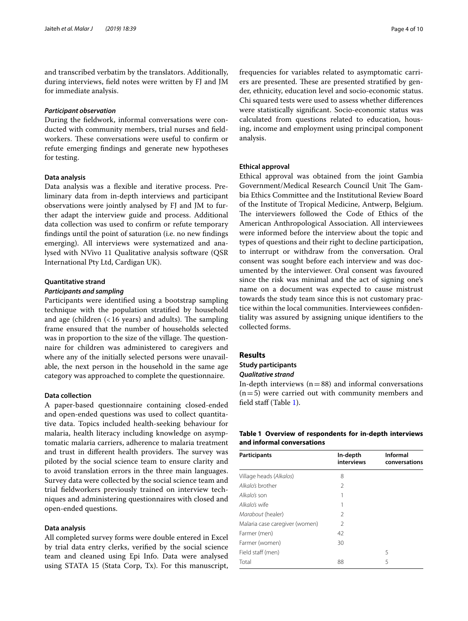and transcribed verbatim by the translators. Additionally, during interviews, feld notes were written by FJ and JM for immediate analysis.

#### *Participant observation*

During the feldwork, informal conversations were conducted with community members, trial nurses and feldworkers. These conversations were useful to confirm or refute emerging fndings and generate new hypotheses for testing.

#### **Data analysis**

Data analysis was a flexible and iterative process. Preliminary data from in-depth interviews and participant observations were jointly analysed by FJ and JM to further adapt the interview guide and process. Additional data collection was used to confrm or refute temporary fndings until the point of saturation (i.e. no new fndings emerging). All interviews were systematized and analysed with NVivo 11 Qualitative analysis software (QSR International Pty Ltd, Cardigan UK).

## **Quantitative strand**

#### *Participants and sampling*

Participants were identifed using a bootstrap sampling technique with the population stratifed by household and age (children  $($  < 16 years) and adults). The sampling frame ensured that the number of households selected was in proportion to the size of the village. The questionnaire for children was administered to caregivers and where any of the initially selected persons were unavailable, the next person in the household in the same age category was approached to complete the questionnaire.

#### **Data collection**

A paper-based questionnaire containing closed-ended and open-ended questions was used to collect quantitative data. Topics included health-seeking behaviour for malaria, health literacy including knowledge on asymptomatic malaria carriers, adherence to malaria treatment and trust in different health providers. The survey was piloted by the social science team to ensure clarity and to avoid translation errors in the three main languages. Survey data were collected by the social science team and trial feldworkers previously trained on interview techniques and administering questionnaires with closed and open-ended questions.

#### **Data analysis**

All completed survey forms were double entered in Excel by trial data entry clerks, verifed by the social science team and cleaned using Epi Info. Data were analysed using STATA 15 (Stata Corp, Tx). For this manuscript, frequencies for variables related to asymptomatic carriers are presented. These are presented stratified by gender, ethnicity, education level and socio-economic status. Chi squared tests were used to assess whether diferences were statistically signifcant. Socio-economic status was calculated from questions related to education, housing, income and employment using principal component analysis.

#### **Ethical approval**

Ethical approval was obtained from the joint Gambia Government/Medical Research Council Unit The Gambia Ethics Committee and the Institutional Review Board of the Institute of Tropical Medicine, Antwerp, Belgium. The interviewers followed the Code of Ethics of the American Anthropological Association. All interviewees were informed before the interview about the topic and types of questions and their right to decline participation, to interrupt or withdraw from the conversation. Oral consent was sought before each interview and was documented by the interviewer. Oral consent was favoured since the risk was minimal and the act of signing one's name on a document was expected to cause mistrust towards the study team since this is not customary practice within the local communities. Interviewees confdentiality was assured by assigning unique identifers to the collected forms.

# **Results**

**Study participants**

# *Qualitative strand*

In-depth interviews  $(n=88)$  and informal conversations  $(n=5)$  were carried out with community members and field staff (Table [1](#page-3-0)).

#### <span id="page-3-0"></span>**Table 1 Overview of respondents for in-depth interviews and informal conversations**

| Participants                   | In-depth<br>interviews | <b>Informal</b><br>conversations |
|--------------------------------|------------------------|----------------------------------|
| Village heads (Alkalos)        | 8                      |                                  |
| Alkalo's brother               | $\mathfrak{D}$         |                                  |
| Alkalo's son                   |                        |                                  |
| Alkalo's wife                  |                        |                                  |
| Marabout (healer)              | $\mathcal{P}$          |                                  |
| Malaria case caregiver (women) | $\mathcal{P}$          |                                  |
| Farmer (men)                   | 42                     |                                  |
| Farmer (women)                 | 30                     |                                  |
| Field staff (men)              |                        | 5                                |
| Total                          | 88                     | 5                                |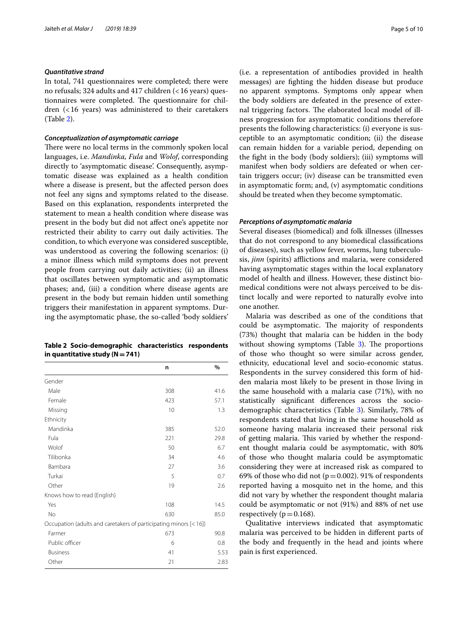#### *Quantitative strand*

In total, 741 questionnaires were completed; there were no refusals; 324 adults and 417 children (<16 years) questionnaires were completed. The questionnaire for children (<16 years) was administered to their caretakers (Table [2](#page-4-0)).

#### *Conceptualization of asymptomatic carriage*

There were no local terms in the commonly spoken local languages, i.e. *Mandinka, Fula* and *Wolof*, corresponding directly to 'asymptomatic disease'. Consequently, asymptomatic disease was explained as a health condition where a disease is present, but the affected person does not feel any signs and symptoms related to the disease. Based on this explanation, respondents interpreted the statement to mean a health condition where disease was present in the body but did not afect one's appetite nor restricted their ability to carry out daily activities. The condition, to which everyone was considered susceptible, was understood as covering the following scenarios: (i) a minor illness which mild symptoms does not prevent people from carrying out daily activities; (ii) an illness that oscillates between symptomatic and asymptomatic phases; and, (iii) a condition where disease agents are present in the body but remain hidden until something triggers their manifestation in apparent symptoms. During the asymptomatic phase, the so-called 'body soldiers'

# <span id="page-4-0"></span>**Table 2 Socio-demographic characteristics respondents in quantitative study (N=741)**

|                             | n                                                                | $\frac{0}{0}$ |
|-----------------------------|------------------------------------------------------------------|---------------|
| Gender                      |                                                                  |               |
| Male                        | 308                                                              | 41.6          |
| Female                      | 423                                                              | 57.1          |
| Missing                     | 10                                                               | 1.3           |
| Ethnicity                   |                                                                  |               |
| Mandinka                    | 385                                                              | 52.0          |
| Fula                        | 221                                                              | 29.8          |
| Wolof                       | 50                                                               | 6.7           |
| Tilibonka                   | 34                                                               | 4.6           |
| Bambara                     | 27                                                               | 3.6           |
| Turkai                      | 5                                                                | 0.7           |
| Other                       | 19                                                               | 2.6           |
| Knows how to read (English) |                                                                  |               |
| Yes                         | 108                                                              | 14.5          |
| No                          | 630                                                              | 85.0          |
|                             | Occupation (adults and caretakers of participating minors [<16]) |               |
| Farmer                      | 673                                                              | 90.8          |
| Public officer              | 6                                                                | 0.8           |
| <b>Business</b>             | 41                                                               | 5.53          |
| Other                       | 21                                                               | 2.83          |
|                             |                                                                  |               |

(i.e. a representation of antibodies provided in health messages) are fghting the hidden disease but produce no apparent symptoms. Symptoms only appear when the body soldiers are defeated in the presence of external triggering factors. The elaborated local model of illness progression for asymptomatic conditions therefore presents the following characteristics: (i) everyone is susceptible to an asymptomatic condition; (ii) the disease can remain hidden for a variable period, depending on the fght in the body (body soldiers); (iii) symptoms will manifest when body soldiers are defeated or when certain triggers occur; (iv) disease can be transmitted even in asymptomatic form; and, (v) asymptomatic conditions should be treated when they become symptomatic.

# *Perceptions of asymptomatic malaria*

Several diseases (biomedical) and folk illnesses (illnesses that do not correspond to any biomedical classifcations of diseases), such as yellow fever, worms, lung tuberculosis, *jinn* (spirits) afflictions and malaria, were considered having asymptomatic stages within the local explanatory model of health and illness. However, these distinct biomedical conditions were not always perceived to be distinct locally and were reported to naturally evolve into one another.

Malaria was described as one of the conditions that could be asymptomatic. The majority of respondents (73%) thought that malaria can be hidden in the body without showing symptoms (Table  $3$ ). The proportions of those who thought so were similar across gender, ethnicity, educational level and socio-economic status. Respondents in the survey considered this form of hidden malaria most likely to be present in those living in the same household with a malaria case (71%), with no statistically signifcant diferences across the sociodemographic characteristics (Table [3](#page-5-0)). Similarly, 78% of respondents stated that living in the same household as someone having malaria increased their personal risk of getting malaria. This varied by whether the respondent thought malaria could be asymptomatic, with 80% of those who thought malaria could be asymptomatic considering they were at increased risk as compared to 69% of those who did not ( $p=0.002$ ). 91% of respondents reported having a mosquito net in the home, and this did not vary by whether the respondent thought malaria could be asymptomatic or not (91%) and 88% of net use respectively ( $p=0.168$ ).

Qualitative interviews indicated that asymptomatic malaria was perceived to be hidden in diferent parts of the body and frequently in the head and joints where pain is frst experienced.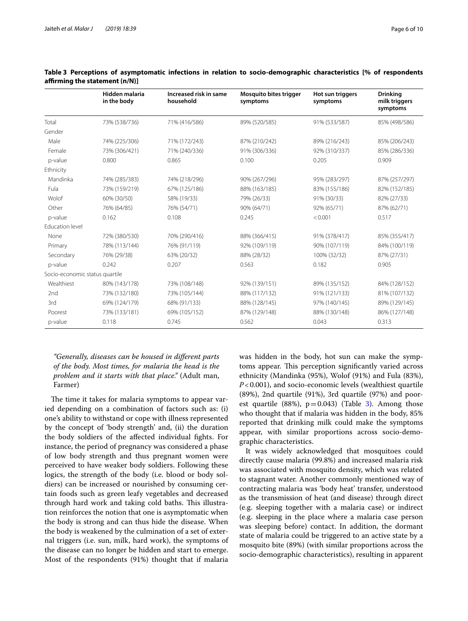|                                | Hidden malaria<br>in the body | Increased risk in same<br>household | Mosquito bites trigger<br>symptoms | Hot sun triggers<br>symptoms | <b>Drinking</b><br>milk triggers<br>symptoms |
|--------------------------------|-------------------------------|-------------------------------------|------------------------------------|------------------------------|----------------------------------------------|
| Total                          | 73% (538/736)                 | 71% (416/586)                       | 89% (520/585)                      | 91% (533/587)                | 85% (498/586)                                |
| Gender                         |                               |                                     |                                    |                              |                                              |
| Male                           | 74% (225/306)                 | 71% (172/243)                       | 87% (210/242)                      | 89% (216/243)                | 85% (206/243)                                |
| Female                         | 73% (306/421)                 | 71% (240/336)                       | 91% (306/336)                      | 92% (310/337)                | 85% (286/336)                                |
| p-value                        | 0.800                         | 0.865                               | 0.100                              | 0.205                        | 0.909                                        |
| Ethnicity                      |                               |                                     |                                    |                              |                                              |
| Mandinka                       | 74% (285/383)                 | 74% (218/296)                       | 90% (267/296)                      | 95% (283/297)                | 87% (257/297)                                |
| Fula                           | 73% (159/219)                 | 67% (125/186)                       | 88% (163/185)                      | 83% (155/186)                | 82% (152/185)                                |
| Wolof                          | 60% (30/50)                   | 58% (19/33)                         | 79% (26/33)                        | 91% (30/33)                  | 82% (27/33)                                  |
| Other                          | 76% (64/85)                   | 76% (54/71)                         | 90% (64/71)                        | 92% (65/71)                  | 87% (62/71)                                  |
| p-value                        | 0.162                         | 0.108                               | 0.245                              | < 0.001                      | 0.517                                        |
| <b>Fducation level</b>         |                               |                                     |                                    |                              |                                              |
| None                           | 72% (380/530)                 | 70% (290/416)                       | 88% (366/415)                      | 91% (378/417)                | 85% (355/417)                                |
| Primary                        | 78% (113/144)                 | 76% (91/119)                        | 92% (109/119)                      | 90% (107/119)                | 84% (100/119)                                |
| Secondary                      | 76% (29/38)                   | 63% (20/32)                         | 88% (28/32)                        | 100% (32/32)                 | 87% (27/31)                                  |
| p-value                        | 0.242                         | 0.207                               | 0.563                              | 0.182                        | 0.905                                        |
| Socio-economic status quartile |                               |                                     |                                    |                              |                                              |
| Wealthiest                     | 80% (143/178)                 | 73% (108/148)                       | 92% (139/151)                      | 89% (135/152)                | 84% (128/152)                                |
| 2nd                            | 73% (132/180)                 | 73% (105/144)                       | 88% (117/132)                      | 91% (121/133)                | 81% (107/132)                                |
| 3rd                            | 69% (124/179)                 | 68% (91/133)                        | 88% (128/145)                      | 97% (140/145)                | 89% (129/145)                                |
| Poorest                        | 73% (133/181)                 | 69% (105/152)                       | 87% (129/148)                      | 88% (130/148)                | 86% (127/148)                                |
| p-value                        | 0.118                         | 0.745                               | 0.562                              | 0.043                        | 0.313                                        |

<span id="page-5-0"></span>**Table 3 Perceptions of asymptomatic infections in relation to socio-demographic characteristics [% of respondents afrming the statement (n/N)]**

# *"Generally, diseases can be housed in diferent parts of the body. Most times, for malaria the head is the problem and it starts with that place."* (Adult man, Farmer)

The time it takes for malaria symptoms to appear varied depending on a combination of factors such as: (i) one's ability to withstand or cope with illness represented by the concept of 'body strength' and, (ii) the duration the body soldiers of the afected individual fghts. For instance, the period of pregnancy was considered a phase of low body strength and thus pregnant women were perceived to have weaker body soldiers. Following these logics, the strength of the body (i.e. blood or body soldiers) can be increased or nourished by consuming certain foods such as green leafy vegetables and decreased through hard work and taking cold baths. This illustration reinforces the notion that one is asymptomatic when the body is strong and can thus hide the disease. When the body is weakened by the culmination of a set of external triggers (i.e. sun, milk, hard work), the symptoms of the disease can no longer be hidden and start to emerge. Most of the respondents (91%) thought that if malaria was hidden in the body, hot sun can make the symptoms appear. This perception significantly varied across ethnicity (Mandinka (95%), Wolof (91%) and Fula (83%), *P*<0.001), and socio-economic levels (wealthiest quartile (89%), 2nd quartile (91%), 3rd quartile (97%) and poorest quartile (88%),  $p=0.043$  $p=0.043$ ) (Table 3). Among those who thought that if malaria was hidden in the body, 85% reported that drinking milk could make the symptoms appear, with similar proportions across socio-demographic characteristics.

It was widely acknowledged that mosquitoes could directly cause malaria (99.8%) and increased malaria risk was associated with mosquito density, which was related to stagnant water. Another commonly mentioned way of contracting malaria was 'body heat' transfer, understood as the transmission of heat (and disease) through direct (e.g. sleeping together with a malaria case) or indirect (e.g. sleeping in the place where a malaria case person was sleeping before) contact. In addition, the dormant state of malaria could be triggered to an active state by a mosquito bite (89%) (with similar proportions across the socio-demographic characteristics), resulting in apparent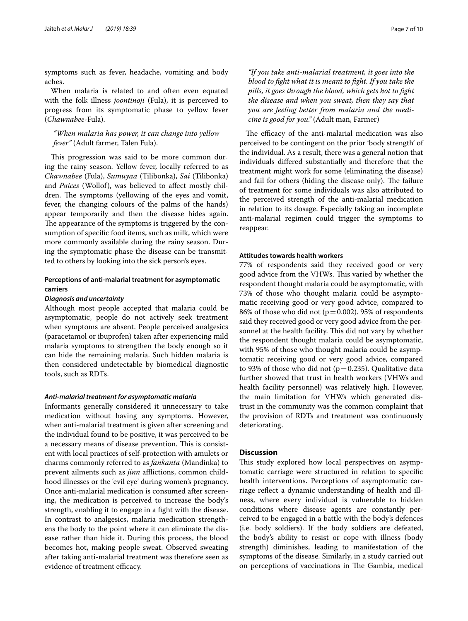symptoms such as fever, headache, vomiting and body aches.

When malaria is related to and often even equated with the folk illness *joontinoji* (Fula), it is perceived to progress from its symptomatic phase to yellow fever (*Chawnabee*-Fula).

*"When malaria has power, it can change into yellow fever"* (Adult farmer, Talen Fula).

This progression was said to be more common during the rainy season. Yellow fever, locally referred to as *Chawnabee* (Fula), *Sumuyaa* (Tilibonka), *Sai* (Tilibonka) and *Paices* (Wollof), was believed to afect mostly children. The symptoms (yellowing of the eyes and vomit, fever, the changing colours of the palms of the hands) appear temporarily and then the disease hides again. The appearance of the symptoms is triggered by the consumption of specifc food items, such as milk, which were more commonly available during the rainy season. During the symptomatic phase the disease can be transmitted to others by looking into the sick person's eyes.

# **Perceptions of anti-malarial treatment for asymptomatic carriers**

## *Diagnosis and uncertainty*

Although most people accepted that malaria could be asymptomatic, people do not actively seek treatment when symptoms are absent. People perceived analgesics (paracetamol or ibuprofen) taken after experiencing mild malaria symptoms to strengthen the body enough so it can hide the remaining malaria. Such hidden malaria is then considered undetectable by biomedical diagnostic tools, such as RDTs.

#### *Anti‑malarial treatment for asymptomatic malaria*

Informants generally considered it unnecessary to take medication without having any symptoms. However, when anti-malarial treatment is given after screening and the individual found to be positive, it was perceived to be a necessary means of disease prevention. This is consistent with local practices of self-protection with amulets or charms commonly referred to as *fankanta* (Mandinka) to prevent ailments such as *jinn* afflictions, common childhood illnesses or the 'evil eye' during women's pregnancy. Once anti-malarial medication is consumed after screening, the medication is perceived to increase the body's strength, enabling it to engage in a fght with the disease. In contrast to analgesics, malaria medication strengthens the body to the point where it can eliminate the disease rather than hide it. During this process, the blood becomes hot, making people sweat. Observed sweating after taking anti-malarial treatment was therefore seen as evidence of treatment efficacy.

*"If you take anti*-*malarial treatment, it goes into the blood to fght what it is meant to fght. If you take the pills, it goes through the blood, which gets hot to fght the disease and when you sweat, then they say that you are feeling better from malaria and the medicine is good for you."* (Adult man, Farmer)

The efficacy of the anti-malarial medication was also perceived to be contingent on the prior 'body strength' of the individual. As a result, there was a general notion that individuals difered substantially and therefore that the treatment might work for some (eliminating the disease) and fail for others (hiding the disease only). The failure of treatment for some individuals was also attributed to the perceived strength of the anti-malarial medication in relation to its dosage. Especially taking an incomplete anti-malarial regimen could trigger the symptoms to reappear.

# **Attitudes towards health workers**

77% of respondents said they received good or very good advice from the VHWs. This varied by whether the respondent thought malaria could be asymptomatic, with 73% of those who thought malaria could be asymptomatic receiving good or very good advice, compared to 86% of those who did not ( $p=0.002$ ). 95% of respondents said they received good or very good advice from the personnel at the health facility. This did not vary by whether the respondent thought malaria could be asymptomatic, with 95% of those who thought malaria could be asymptomatic receiving good or very good advice, compared to 93% of those who did not ( $p=0.235$ ). Qualitative data further showed that trust in health workers (VHWs and health facility personnel) was relatively high. However, the main limitation for VHWs which generated distrust in the community was the common complaint that the provision of RDTs and treatment was continuously deteriorating.

# **Discussion**

This study explored how local perspectives on asymptomatic carriage were structured in relation to specifc health interventions. Perceptions of asymptomatic carriage refect a dynamic understanding of health and illness, where every individual is vulnerable to hidden conditions where disease agents are constantly perceived to be engaged in a battle with the body's defences (i.e. body soldiers). If the body soldiers are defeated, the body's ability to resist or cope with illness (body strength) diminishes, leading to manifestation of the symptoms of the disease. Similarly, in a study carried out on perceptions of vaccinations in The Gambia, medical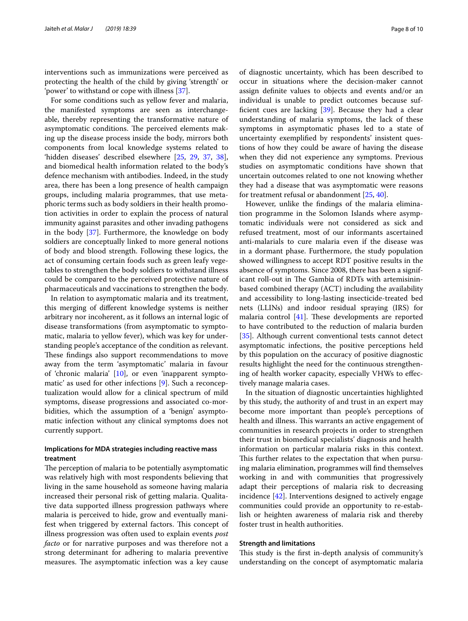interventions such as immunizations were perceived as protecting the health of the child by giving 'strength' or 'power' to withstand or cope with illness [[37](#page-9-24)].

For some conditions such as yellow fever and malaria, the manifested symptoms are seen as interchangeable, thereby representing the transformative nature of asymptomatic conditions. The perceived elements making up the disease process inside the body, mirrors both components from local knowledge systems related to 'hidden diseases' described elsewhere [[25,](#page-9-25) [29](#page-9-18), [37](#page-9-24), [38](#page-9-26)], and biomedical health information related to the body's defence mechanism with antibodies. Indeed, in the study area, there has been a long presence of health campaign groups, including malaria programmes, that use metaphoric terms such as body soldiers in their health promotion activities in order to explain the process of natural immunity against parasites and other invading pathogens in the body [\[37\]](#page-9-24). Furthermore, the knowledge on body soldiers are conceptually linked to more general notions of body and blood strength. Following these logics, the act of consuming certain foods such as green leafy vegetables to strengthen the body soldiers to withstand illness could be compared to the perceived protective nature of pharmaceuticals and vaccinations to strengthen the body.

In relation to asymptomatic malaria and its treatment, this merging of diferent knowledge systems is neither arbitrary nor incoherent, as it follows an internal logic of disease transformations (from asymptomatic to symptomatic, malaria to yellow fever), which was key for understanding people's acceptance of the condition as relevant. These findings also support recommendations to move away from the term 'asymptomatic' malaria in favour of 'chronic malaria' [[10](#page-9-1)], or even 'inapparent symptomatic' as used for other infections [\[9](#page-9-0)]. Such a reconceptualization would allow for a clinical spectrum of mild symptoms, disease progressions and associated co-morbidities, which the assumption of a 'benign' asymptomatic infection without any clinical symptoms does not currently support.

# **Implications for MDA strategies including reactive mass treatment**

The perception of malaria to be potentially asymptomatic was relatively high with most respondents believing that living in the same household as someone having malaria increased their personal risk of getting malaria. Qualitative data supported illness progression pathways where malaria is perceived to hide, grow and eventually manifest when triggered by external factors. This concept of illness progression was often used to explain events *post facto* or for narrative purposes and was therefore not a strong determinant for adhering to malaria preventive measures. The asymptomatic infection was a key cause of diagnostic uncertainty, which has been described to occur in situations where the decision-maker cannot assign defnite values to objects and events and/or an individual is unable to predict outcomes because suffcient cues are lacking [\[39\]](#page-9-27). Because they had a clear understanding of malaria symptoms, the lack of these symptoms in asymptomatic phases led to a state of uncertainty exemplifed by respondents' insistent questions of how they could be aware of having the disease when they did not experience any symptoms. Previous studies on asymptomatic conditions have shown that uncertain outcomes related to one not knowing whether they had a disease that was asymptomatic were reasons for treatment refusal or abandonment [[25](#page-9-25), [40\]](#page-9-28).

However, unlike the fndings of the malaria elimination programme in the Solomon Islands where asymptomatic individuals were not considered as sick and refused treatment, most of our informants ascertained anti-malarials to cure malaria even if the disease was in a dormant phase. Furthermore, the study population showed willingness to accept RDT positive results in the absence of symptoms. Since 2008, there has been a significant roll-out in The Gambia of RDTs with artemisininbased combined therapy (ACT) including the availability and accessibility to long-lasting insecticide-treated bed nets (LLINs) and indoor residual spraying (IRS) for malaria control  $[41]$  $[41]$ . These developments are reported to have contributed to the reduction of malaria burden [[35\]](#page-9-22). Although current conventional tests cannot detect asymptomatic infections, the positive perceptions held by this population on the accuracy of positive diagnostic results highlight the need for the continuous strengthening of health worker capacity, especially VHWs to efectively manage malaria cases.

In the situation of diagnostic uncertainties highlighted by this study, the authority of and trust in an expert may become more important than people's perceptions of health and illness. This warrants an active engagement of communities in research projects in order to strengthen their trust in biomedical specialists' diagnosis and health information on particular malaria risks in this context. This further relates to the expectation that when pursuing malaria elimination, programmes will fnd themselves working in and with communities that progressively adapt their perceptions of malaria risk to decreasing incidence [\[42\]](#page-9-30). Interventions designed to actively engage communities could provide an opportunity to re-establish or heighten awareness of malaria risk and thereby foster trust in health authorities.

# **Strength and limitations**

This study is the first in-depth analysis of community's understanding on the concept of asymptomatic malaria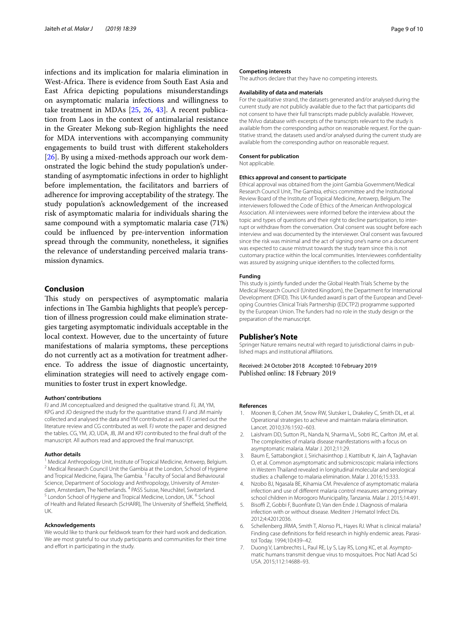infections and its implication for malaria elimination in West-Africa. There is evidence from South East Asia and East Africa depicting populations misunderstandings on asymptomatic malaria infections and willingness to take treatment in MDAs [[25,](#page-9-25) [26](#page-9-13), [43](#page-9-31)]. A recent publication from Laos in the context of antimalarial resistance in the Greater Mekong sub-Region highlights the need for MDA interventions with accompanying community engagements to build trust with diferent stakeholders [[26\]](#page-9-13). By using a mixed-methods approach our work demonstrated the logic behind the study population's understanding of asymptomatic infections in order to highlight before implementation, the facilitators and barriers of adherence for improving acceptability of the strategy. The study population's acknowledgement of the increased risk of asymptomatic malaria for individuals sharing the same compound with a symptomatic malaria case (71%) could be infuenced by pre-intervention information spread through the community, nonetheless, it signifes the relevance of understanding perceived malaria transmission dynamics.

## **Conclusion**

This study on perspectives of asymptomatic malaria infections in The Gambia highlights that people's perception of illness progression could make elimination strategies targeting asymptomatic individuals acceptable in the local context. However, due to the uncertainty of future manifestations of malaria symptoms, these perceptions do not currently act as a motivation for treatment adherence. To address the issue of diagnostic uncertainty, elimination strategies will need to actively engage communities to foster trust in expert knowledge.

#### **Authors' contributions**

FJ and JM conceptualized and designed the qualitative strand. FJ, JM, YM, KPG and JO designed the study for the quantitative strand. FJ and JM mainly collected and analysed the data and YM contributed as well. FJ carried out the literature review and CG contributed as well. FJ wrote the paper and designed the tables. CG, YM, JO, UDA, JB, JM and KPJ contributed to the fnal draft of the manuscript. All authors read and approved the fnal manuscript.

#### **Author details**

<sup>1</sup> Medical Anthropology Unit, Institute of Tropical Medicine, Antwerp, Belgium.<br><sup>2</sup> Medical Research Council Unit the Gambia at the London, School of Hygiene and Tropical Medicine, Fajara, The Gambia.<sup>3</sup> Faculty of Social and Behavioural Science, Department of Sociology and Anthropology, University of Amsterdam, Amsterdam, The Netherlands. <sup>4</sup> PASS Suisse, Neuchâtel, Switzerland.<br><sup>5</sup> London School of Hygiene and Tropical Medicine, London, UK. <sup>6</sup> School of Health and Related Research (ScHARR), The University of Sheffield, Sheffield, UK.

#### **Acknowledgements**

We would like to thank our feldwork team for their hard work and dedication. We are most grateful to our study participants and communities for their time and efort in participating in the study.

#### **Competing interests**

The authors declare that they have no competing interests.

#### **Availability of data and materials**

For the qualitative strand, the datasets generated and/or analysed during the current study are not publicly available due to the fact that participants did not consent to have their full transcripts made publicly available. However, the NVivo database with excerpts of the transcripts relevant to the study is available from the corresponding author on reasonable request. For the quantitative strand, the datasets used and/or analysed during the current study are available from the corresponding author on reasonable request.

#### **Consent for publication**

Not applicable.

#### **Ethics approval and consent to participate**

Ethical approval was obtained from the joint Gambia Government/Medical Research Council Unit, The Gambia, ethics committee and the Institutional Review Board of the Institute of Tropical Medicine, Antwerp, Belgium. The interviewers followed the Code of Ethics of the American Anthropological Association. All interviewees were informed before the interview about the topic and types of questions and their right to decline participation, to interrupt or withdraw from the conversation. Oral consent was sought before each interview and was documented by the interviewer. Oral consent was favoured since the risk was minimal and the act of signing one's name on a document was expected to cause mistrust towards the study team since this is not customary practice within the local communities. Interviewees confdentiality was assured by assigning unique identifers to the collected forms.

#### **Funding**

This study is jointly funded under the Global Health Trials Scheme by the Medical Research Council (United Kingdom), the Department for International Development (DFID). This UK-funded award is part of the European and Developing Countries Clinical Trials Partnership (EDCTP2) programme supported by the European Union. The funders had no role in the study design or the preparation of the manuscript.

#### **Publisher's Note**

Springer Nature remains neutral with regard to jurisdictional claims in published maps and institutional afliations.

Received: 24 October 2018 Accepted: 10 February 2019 Published online: 18 February 2019

#### **References**

- <span id="page-8-0"></span>Moonen B, Cohen JM, Snow RW, Slutsker L, Drakeley C, Smith DL, et al. Operational strategies to achieve and maintain malaria elimination. Lancet. 2010;376:1592–603.
- Laishram DD, Sutton PL, Nanda N, Sharma VL, Sobti RC, Carlton JM, et al. The complexities of malaria disease manifestations with a focus on asymptomatic malaria. Malar J. 2012;11:29.
- 3. Baum E, Sattabongkot J, Sirichaisinthop J, Kiattibutr K, Jain A, Taghavian O, et al. Common asymptomatic and submicroscopic malaria infections in Western Thailand revealed in longitudinal molecular and serological studies: a challenge to malaria elimination. Malar J. 2016;15:333.
- <span id="page-8-1"></span>4. Nzobo BJ, Ngasala BE, Kihamia CM. Prevalence of asymptomatic malaria infection and use of diferent malaria control measures among primary school children in Morogoro Municipality, Tanzania. Malar J. 2015;14:491.
- <span id="page-8-2"></span>5. Bisoffi Z, Gobbi F, Buonfrate D, Van den Ende J. Diagnosis of malaria infection with or without disease. Mediterr J Hematol Infect Dis. 2012;4:42012036.
- <span id="page-8-3"></span>6. Schellenberg JRMA, Smith T, Alonso PL, Hayes RJ. What is clinical malaria? Finding case defnitions for feld research in highly endemic areas. Parasitol Today. 1994;10:439–42.
- <span id="page-8-4"></span>7. Duong V, Lambrechts L, Paul RE, Ly S, Lay RS, Long KC, et al. Asymptomatic humans transmit dengue virus to mosquitoes. Proc Natl Acad Sci USA. 2015;112:14688–93.